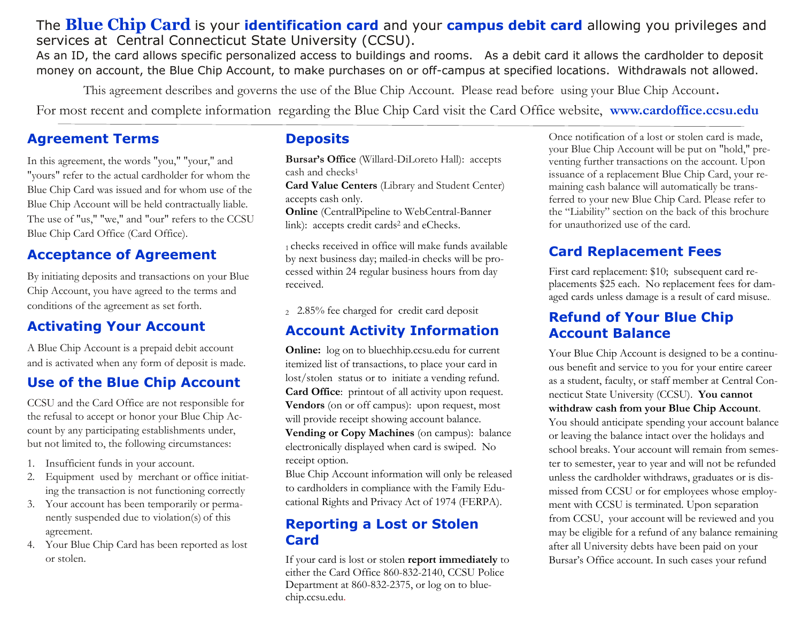### The **Blue Chip Card** is your **identification card** and your **campus debit card** allowing you privileges and services at Central Connecticut State University (CCSU).

As an ID, the card allows specific personalized access to buildings and rooms. As a debit card it allows the cardholder to deposit money on account, the Blue Chip Account, to make purchases on or off-campus at specified locations. Withdrawals not allowed.

This agreement describes and governs the use of the Blue Chip Account. Please read before using your Blue Chip Account.

For most recent and complete information regarding the Blue Chip Card visit the Card Office website, **www.cardoffice.ccsu.edu**

#### **Agreement Terms**

In this agreement, the words "you," "your," and "yours" refer to the actual cardholder for whom the Blue Chip Card was issued and for whom use of the Blue Chip Account will be held contractually liable. The use of "us," "we," and "our" refers to the CCSU Blue Chip Card Office (Card Office).

### **Acceptance of Agreement**

By initiating deposits and transactions on your Blue Chip Account, you have agreed to the terms and conditions of the agreement as set forth.

# **Activating Your Account**

A Blue Chip Account is a prepaid debit account and is activated when any form of deposit is made.

## **Use of the Blue Chip Account**

CCSU and the Card Office are not responsible for the refusal to accept or honor your Blue Chip Account by any participating establishments under, but not limited to, the following circumstances:

- 1. Insufficient funds in your account.
- 2. Equipment used by merchant or office initiating the transaction is not functioning correctly
- 3. Your account has been temporarily or permanently suspended due to violation(s) of this agreement.
- 4. Your Blue Chip Card has been reported as lost or stolen.

#### **Deposits**

**Bursar's Office** (Willard-DiLoreto Hall): accepts cash and checks<sup>1</sup>

**Card Value Centers** (Library and Student Center) accepts cash only.

**Online** (CentralPipeline to WebCentral-Banner link): accepts credit cards<sup>2</sup> and eChecks.

<sup>1</sup>checks received in office will make funds available by next business day; mailed-in checks will be processed within 24 regular business hours from day received.

<sup>2</sup>2.85% fee charged for credit card deposit

#### **Account Activity Information**

**Online:** log on to bluechhip.ccsu.edu for current itemized list of transactions, to place your card in lost/stolen status or to initiate a vending refund. **Card Office**: printout of all activity upon request. **Vendors** (on or off campus): upon request, most will provide receipt showing account balance. **Vending or Copy Machines** (on campus): balance electronically displayed when card is swiped. No receipt option.

Blue Chip Account information will only be released to cardholders in compliance with the Family Educational Rights and Privacy Act of 1974 (FERPA).

#### **Reporting a Lost or Stolen Card**

If your card is lost or stolen **report immediately** to either the Card Office 860-832-2140, CCSU Police Department at 860-832-2375, or log on to bluechip.ccsu.edu.

Once notification of a lost or stolen card is made, your Blue Chip Account will be put on "hold," preventing further transactions on the account. Upon issuance of a replacement Blue Chip Card, your remaining cash balance will automatically be transferred to your new Blue Chip Card. Please refer to the "Liability" section on the back of this brochure for unauthorized use of the card.

# **Card Replacement Fees**

First card replacement: \$10; subsequent card replacements \$25 each. No replacement fees for damaged cards unless damage is a result of card misuse.

## **Refund of Your Blue Chip Account Balance**

Your Blue Chip Account is designed to be a continuous benefit and service to you for your entire career as a student, faculty, or staff member at Central Connecticut State University (CCSU). **You cannot withdraw cash from your Blue Chip Account**. You should anticipate spending your account balance or leaving the balance intact over the holidays and school breaks. Your account will remain from semester to semester, year to year and will not be refunded unless the cardholder withdraws, graduates or is dismissed from CCSU or for employees whose employment with CCSU is terminated. Upon separation from CCSU, your account will be reviewed and you may be eligible for a refund of any balance remaining after all University debts have been paid on your Bursar's Office account. In such cases your refund